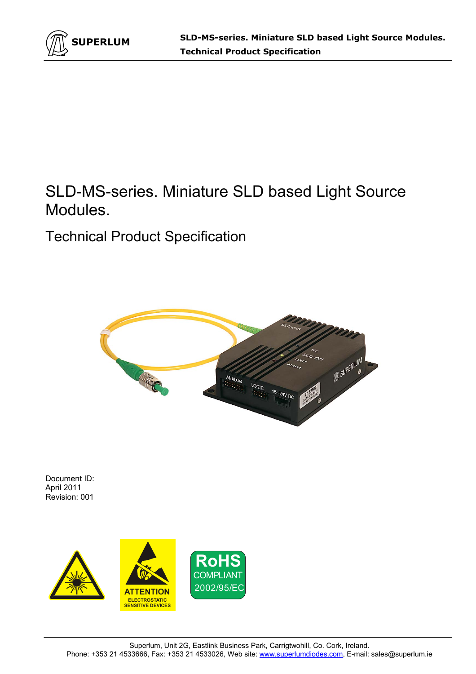

# SLD-MS-series. Miniature SLD based Light Source Modules.

Technical Product Specification



Document ID: April 2011 Revision: 001

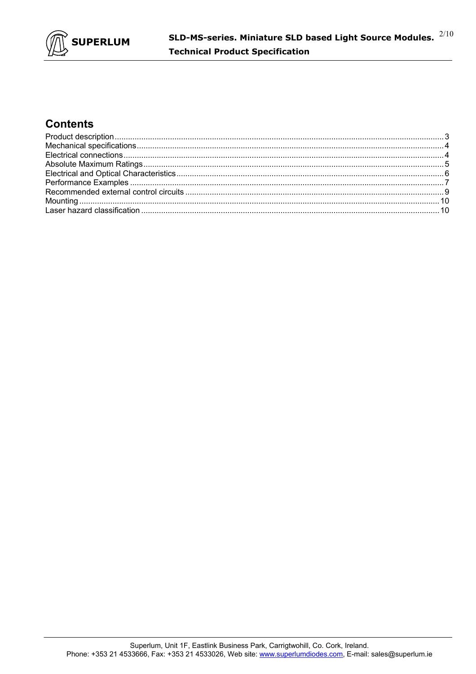

### **Contents**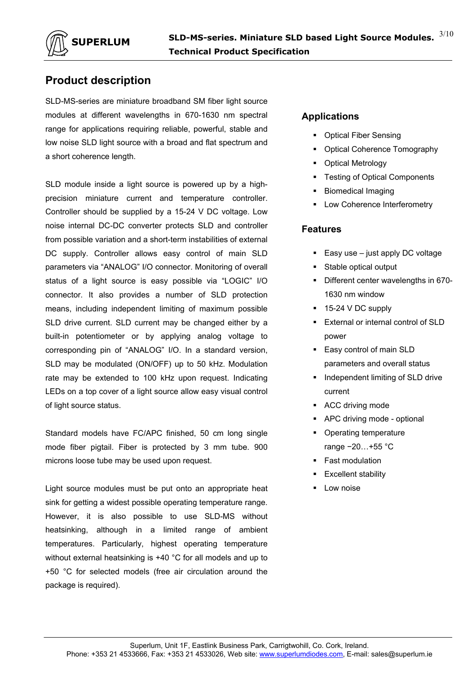

### **Product description**

SLD-MS-series are miniature broadband SM fiber light source modules at different wavelengths in 670-1630 nm spectral range for applications requiring reliable, powerful, stable and low noise SLD light source with a broad and flat spectrum and a short coherence length.

SLD module inside a light source is powered up by a highprecision miniature current and temperature controller. Controller should be supplied by a 15-24 V DC voltage. Low noise internal DC-DC converter protects SLD and controller from possible variation and a short-term instabilities of external DC supply. Controller allows easy control of main SLD parameters via "ANALOG" I/O connector. Monitoring of overall status of a light source is easy possible via "LOGIC" I/O connector. It also provides a number of SLD protection means, including independent limiting of maximum possible SLD drive current. SLD current may be changed either by a built-in potentiometer or by applying analog voltage to corresponding pin of "ANALOG" I/O. In a standard version, SLD may be modulated (ON/OFF) up to 50 kHz. Modulation rate may be extended to 100 kHz upon request. Indicating LEDs on a top cover of a light source allow easy visual control of light source status.

Standard models have FC/APC finished, 50 cm long single mode fiber pigtail. Fiber is protected by 3 mm tube. 900 microns loose tube may be used upon request.

Light source modules must be put onto an appropriate heat sink for getting a widest possible operating temperature range. However, it is also possible to use SLD-MS without heatsinking, although in a limited range of ambient temperatures. Particularly, highest operating temperature without external heatsinking is +40 °C for all models and up to +50 °C for selected models (free air circulation around the package is required).

#### **Applications**

- **Optical Fiber Sensing**
- Optical Coherence Tomography
- Optical Metrology
- **Testing of Optical Components**
- Biomedical Imaging
- Low Coherence Interferometry

#### **Features**

- Easy use  $-$  just apply DC voltage
- Stable optical output
- Different center wavelengths in 670-1630 nm window
- $\blacksquare$  15-24 V DC supply
- **External or internal control of SLD** power
- **Easy control of main SLD** parameters and overall status
- **Independent limiting of SLD drive** current
- **ACC driving mode**
- APC driving mode optional
- Operating temperature
- range −20…+55 °C Fast modulation
- Excellent stability
- Low noise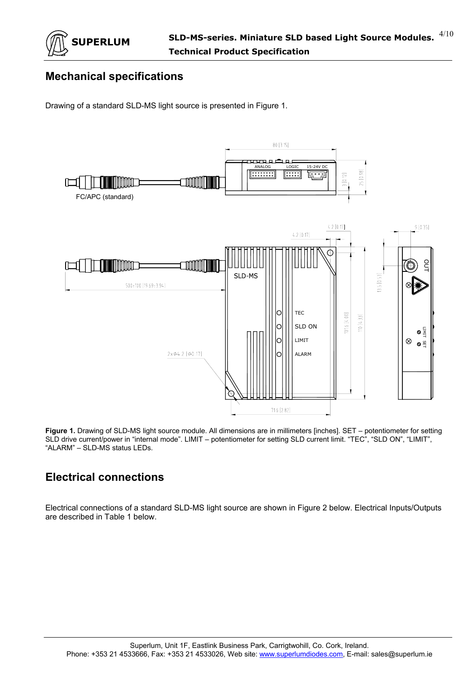

### **Mechanical specifications**

Drawing of a standard SLD-MS light source is presented in Figure 1.



**Figure 1.** Drawing of SLD-MS light source module. All dimensions are in millimeters [inches]. SET – potentiometer for setting SLD drive current/power in "internal mode". LIMIT – potentiometer for setting SLD current limit. "TEC", "SLD ON", "LIMIT", "ALARM" – SLD-MS status LEDs.

# **Electrical connections**

Electrical connections of a standard SLD-MS light source are shown in Figure 2 below. Electrical Inputs/Outputs are described in Table 1 below.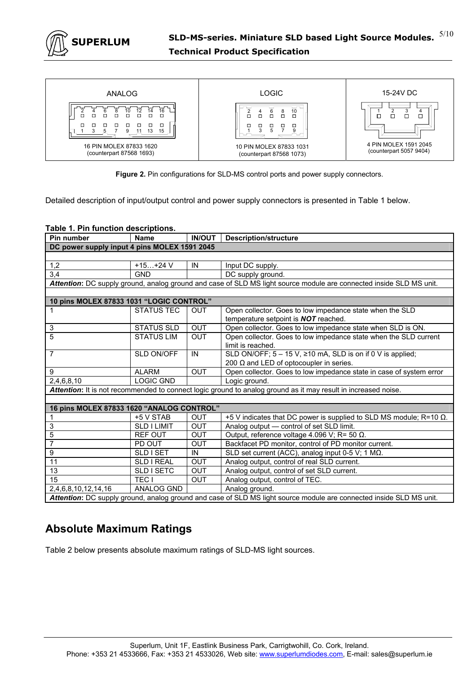

| ANALOG                                                                                       | <b>LOGIC</b>                                         | 15-24V DC                                        |
|----------------------------------------------------------------------------------------------|------------------------------------------------------|--------------------------------------------------|
| 16<br>14<br>12<br>10<br>□<br>□<br>□<br>п<br>п<br>п<br>п<br>о<br>□<br>□<br>□<br>п<br>13<br>15 | 10<br>ŏ<br>□<br>п<br>п<br>П<br>□<br>$\Box$<br>◻<br>п | □                                                |
| 16 PIN MOLEX 87833 1620<br>(counterpart 87568 1693)                                          | 10 PIN MOLEX 87833 1031<br>(counterpart 87568 1073)  | 4 PIN MOLEX 1591 2045<br>(counterpart 5057 9404) |

**Figure 2.** Pin configurations for SLD-MS control ports and power supply connectors.

Detailed description of input/output control and power supply connectors is presented in Table 1 below.

|  | Table 1. Pin function descriptions. |
|--|-------------------------------------|
|  |                                     |

| Pin number                                                                                                          | <b>Name</b>        | <b>IN/OUT</b> | <b>Description/structure</b>                                                                                        |  |  |  |
|---------------------------------------------------------------------------------------------------------------------|--------------------|---------------|---------------------------------------------------------------------------------------------------------------------|--|--|--|
| DC power supply input 4 pins MOLEX 1591 2045                                                                        |                    |               |                                                                                                                     |  |  |  |
|                                                                                                                     |                    |               |                                                                                                                     |  |  |  |
| 1,2                                                                                                                 | $+15+24V$          | IN            | Input DC supply.                                                                                                    |  |  |  |
| 3,4                                                                                                                 | <b>GND</b>         |               | DC supply ground.                                                                                                   |  |  |  |
|                                                                                                                     |                    |               | Attention: DC supply ground, analog ground and case of SLD MS light source module are connected inside SLD MS unit. |  |  |  |
|                                                                                                                     |                    |               |                                                                                                                     |  |  |  |
| 10 pins MOLEX 87833 1031 "LOGIC CONTROL"                                                                            |                    |               |                                                                                                                     |  |  |  |
|                                                                                                                     | <b>STATUS TEC</b>  | <b>OUT</b>    | Open collector. Goes to low impedance state when the SLD                                                            |  |  |  |
|                                                                                                                     |                    |               | temperature setpoint is <b>NOT</b> reached.                                                                         |  |  |  |
| 3                                                                                                                   | <b>STATUS SLD</b>  | <b>OUT</b>    | Open collector. Goes to low impedance state when SLD is ON.                                                         |  |  |  |
| 5                                                                                                                   | <b>STATUS LIM</b>  | <b>OUT</b>    | Open collector. Goes to low impedance state when the SLD current                                                    |  |  |  |
|                                                                                                                     |                    |               | limit is reached.                                                                                                   |  |  |  |
| $\overline{7}$                                                                                                      | SLD ON/OFF         | IN            | SLD ON/OFF; $5 - 15$ V, $\ge 10$ mA, SLD is on if 0 V is applied;                                                   |  |  |  |
|                                                                                                                     |                    |               | 200 $\Omega$ and LED of optocoupler in series.                                                                      |  |  |  |
| 9                                                                                                                   | <b>ALARM</b>       | <b>OUT</b>    | Open collector. Goes to low impedance state in case of system error                                                 |  |  |  |
| 2,4,6,8,10                                                                                                          | <b>LOGIC GND</b>   |               | Logic ground.                                                                                                       |  |  |  |
|                                                                                                                     |                    |               | Attention: It is not recommended to connect logic ground to analog ground as it may result in increased noise.      |  |  |  |
|                                                                                                                     |                    |               |                                                                                                                     |  |  |  |
| 16 pins MOLEX 87833 1620 "ANALOG CONTROL"                                                                           |                    |               |                                                                                                                     |  |  |  |
|                                                                                                                     | +5 V STAB          | <b>OUT</b>    | +5 V indicates that DC power is supplied to SLD MS module; R=10 $\Omega$ .                                          |  |  |  |
| 3                                                                                                                   | <b>SLD I LIMIT</b> | <b>OUT</b>    | Analog output - control of set SLD limit.                                                                           |  |  |  |
| 5                                                                                                                   | <b>REF OUT</b>     | <b>OUT</b>    | Output, reference voltage 4.096 V; R= 50 $\Omega$ .                                                                 |  |  |  |
| 7                                                                                                                   | PD OUT             | <b>OUT</b>    | Backfacet PD monitor, control of PD monitor current.                                                                |  |  |  |
| 9                                                                                                                   | SLD I SET          | IN            | SLD set current (ACC), analog input 0-5 V; 1 MΩ.                                                                    |  |  |  |
| 11                                                                                                                  | <b>SLD I REAL</b>  | <b>OUT</b>    | Analog output, control of real SLD current.                                                                         |  |  |  |
| 13                                                                                                                  | SLD I SETC         | <b>OUT</b>    | Analog output, control of set SLD current.                                                                          |  |  |  |
| 15                                                                                                                  | TEC <sub>1</sub>   | OUT           | Analog output, control of TEC.                                                                                      |  |  |  |
| ANALOG GND<br>2,4,6,8,10,12,14,16<br>Analog ground.                                                                 |                    |               |                                                                                                                     |  |  |  |
| Attention: DC supply ground, analog ground and case of SLD MS light source module are connected inside SLD MS unit. |                    |               |                                                                                                                     |  |  |  |

### **Absolute Maximum Ratings**

Table 2 below presents absolute maximum ratings of SLD-MS light sources.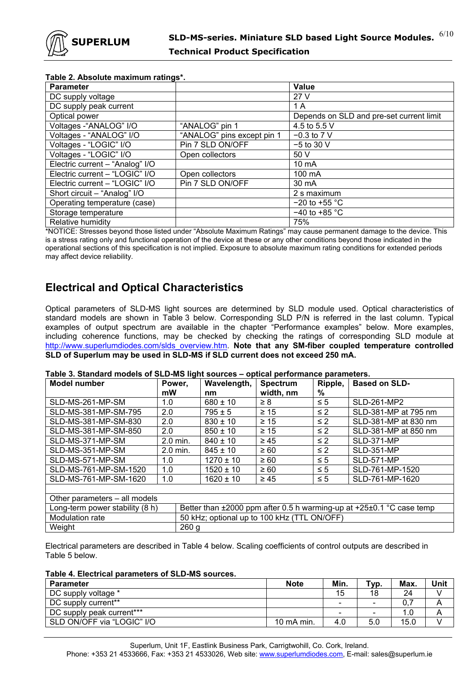

| $\mathbf{r}$ able $\mathbf{z}$ . Absolute maximum ratings $\mathbf{r}$ |                            |                                          |  |  |  |  |
|------------------------------------------------------------------------|----------------------------|------------------------------------------|--|--|--|--|
| <b>Parameter</b>                                                       |                            | Value                                    |  |  |  |  |
| DC supply voltage                                                      |                            | 27 V                                     |  |  |  |  |
| DC supply peak current                                                 |                            | 1 A                                      |  |  |  |  |
| Optical power                                                          |                            | Depends on SLD and pre-set current limit |  |  |  |  |
| Voltages - "ANALOG" I/O                                                | "ANALOG" pin 1             | 4.5 to 5.5 V                             |  |  |  |  |
| Voltages - "ANALOG" I/O                                                | "ANALOG" pins except pin 1 | $-0.3$ to 7 V                            |  |  |  |  |
| Voltages - "LOGIC" I/O                                                 | Pin 7 SLD ON/OFF           | $-5$ to 30 V                             |  |  |  |  |
| Voltages - "LOGIC" I/O                                                 | Open collectors            | 50 V                                     |  |  |  |  |
| Electric current - "Analog" I/O                                        |                            | $10 \text{ mA}$                          |  |  |  |  |
| Electric current - "LOGIC" I/O                                         | Open collectors            | 100 mA                                   |  |  |  |  |
| Electric current - "LOGIC" I/O                                         | Pin 7 SLD ON/OFF           | 30 mA                                    |  |  |  |  |
| Short circuit - "Analog" I/O                                           |                            | 2 s maximum                              |  |  |  |  |
| Operating temperature (case)                                           |                            | $-20$ to $+55$ °C                        |  |  |  |  |
| Storage temperature                                                    |                            | $-40$ to +85 °C                          |  |  |  |  |
| Relative humidity                                                      |                            | 75%                                      |  |  |  |  |

#### **Table 2. Absolute maximum ratings\*.**

\*NOTICE: Stresses beyond those listed under "Absolute Maximum Ratings" may cause permanent damage to the device. This is a stress rating only and functional operation of the device at these or any other conditions beyond those indicated in the operational sections of this specification is not implied. Exposure to absolute maximum rating conditions for extended periods may affect device reliability.

#### **Electrical and Optical Characteristics**

Optical parameters of SLD-MS light sources are determined by SLD module used. Optical characteristics of standard models are shown in Table 3 below. Corresponding SLD P/N is referred in the last column. Typical examples of output spectrum are available in the chapter "Performance examples" below. More examples, including coherence functions, may be checked by checking the ratings of corresponding SLD module at http://www.superlumdiodes.com/slds\_overview.htm. **Note that any SM-fiber coupled temperature controlled SLD of Superlum may be used in SLD-MS if SLD current does not exceed 250 mA.** 

| <b>Model number</b>                                                                                              | Power,<br>mW     | Wavelength,<br>nm | <b>Spectrum</b><br>width, nm | Ripple,<br>% | <b>Based on SLD-</b> |  |
|------------------------------------------------------------------------------------------------------------------|------------------|-------------------|------------------------------|--------------|----------------------|--|
| SLD-MS-261-MP-SM                                                                                                 | 1.0              | $680 \pm 10$      | $\geq 8$                     | $\leq 5$     | SLD-261-MP2          |  |
| SLD-MS-381-MP-SM-795                                                                                             | 2.0              | $795 \pm 5$       | $\geq 15$                    | $\leq$ 2     | SLD-381-MP at 795 nm |  |
| SLD-MS-381-MP-SM-830                                                                                             | 2.0              | $830 \pm 10$      | $\geq 15$                    | $\leq$ 2     | SLD-381-MP at 830 nm |  |
| SLD-MS-381-MP-SM-850                                                                                             | 2.0              | $850 \pm 10$      | $\geq 15$                    | $\leq$ 2     | SLD-381-MP at 850 nm |  |
| SLD-MS-371-MP-SM                                                                                                 | 2.0 min.         | $840 \pm 10$      | $\geq 45$                    | $\leq$ 2     | <b>SLD-371-MP</b>    |  |
| SLD-MS-351-MP-SM                                                                                                 | 2.0 min.         | $845 \pm 10$      | $\geq 60$                    | $\leq$ 2     | <b>SLD-351-MP</b>    |  |
| SLD-MS-571-MP-SM                                                                                                 | 1.0              | $1270 \pm 10$     | $\geq 60$                    | $\leq 5$     | <b>SLD-571-MP</b>    |  |
| SLD-MS-761-MP-SM-1520                                                                                            | 1.0              | $1520 \pm 10$     | $\geq 60$                    | $\leq 5$     | SLD-761-MP-1520      |  |
| SLD-MS-761-MP-SM-1620                                                                                            | 1.0              | $1620 \pm 10$     | $\geq 45$                    | $\leq 5$     | SLD-761-MP-1620      |  |
|                                                                                                                  |                  |                   |                              |              |                      |  |
| Other parameters - all models                                                                                    |                  |                   |                              |              |                      |  |
| Better than $\pm 2000$ ppm after 0.5 h warming-up at $+25\pm0.1$ °C case temp<br>Long-term power stability (8 h) |                  |                   |                              |              |                      |  |
| 50 kHz; optional up to 100 kHz (TTL ON/OFF)<br>Modulation rate                                                   |                  |                   |                              |              |                      |  |
| Weight                                                                                                           | 260 <sub>g</sub> |                   |                              |              |                      |  |

#### **Table 3. Standard models of SLD-MS light sources – optical performance parameters.**

Electrical parameters are described in Table 4 below. Scaling coefficients of control outputs are described in Table 5 below.

#### **Table 4. Electrical parameters of SLD-MS sources.**

| <b>Parameter</b>           | <b>Note</b> | Min.                     | Typ. | Max. | Unit |
|----------------------------|-------------|--------------------------|------|------|------|
| DC supply voltage *        |             | 15                       | 18   | 24   |      |
| DC supply current**        |             | -                        | -    | 0.:  |      |
| DC supply peak current***  |             | $\overline{\phantom{0}}$ | -    | 1.0  |      |
| SLD ON/OFF via "LOGIC" I/O | 10 mA min.  | 4.0                      | 5.0  | 15.0 |      |

Superlum, Unit 1F, Eastlink Business Park, Carrigtwohill, Co. Cork, Ireland. Phone: +353 21 4533666, Fax: +353 21 4533026, Web site: www.superlumdiodes.com, E-mail: sales@superlum.ie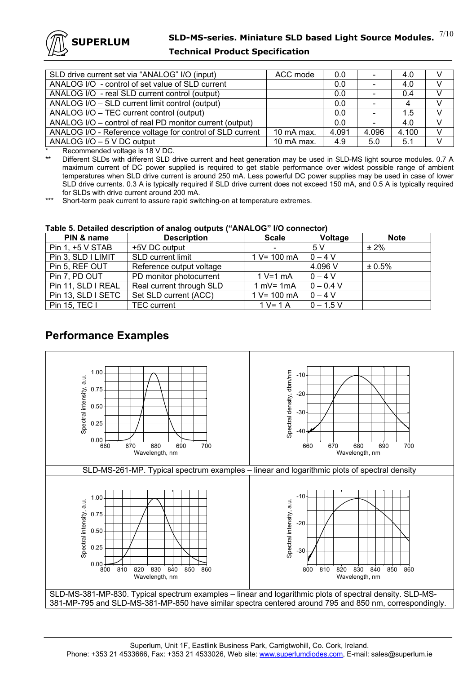

#### **Technical Product Specification**

| SLD drive current set via "ANALOG" I/O (input)            | ACC mode   | 0.0   |       | 4.0   |               |
|-----------------------------------------------------------|------------|-------|-------|-------|---------------|
| ANALOG I/O - control of set value of SLD current          |            | 0.0   |       | 4.0   |               |
| ANALOG I/O - real SLD current control (output)            |            | 0.0   |       | 0.4   |               |
| ANALOG I/O - SLD current limit control (output)           |            | 0.0   |       | 4     |               |
| ANALOG I/O - TEC current control (output)                 |            | 0.0   |       | 1.5   |               |
| ANALOG I/O - control of real PD monitor current (output)  |            | 0.0   |       | 4.0   |               |
| ANALOG I/O - Reference voltage for control of SLD current | 10 mA max. | 4.091 | 4.096 | 4.100 | $\mathcal{U}$ |
| ANALOG I/O - 5 V DC output                                | 10 mA max. | 4.9   | 5.0   | 5.1   |               |

\* Recommended voltage is 18 V DC.

Different SLDs with different SLD drive current and heat generation may be used in SLD-MS light source modules. 0.7 A maximum current of DC power supplied is required to get stable performance over widest possible range of ambient temperatures when SLD drive current is around 250 mA. Less powerful DC power supplies may be used in case of lower SLD drive currents. 0.3 A is typically required if SLD drive current does not exceed 150 mA, and 0.5 A is typically required for SLDs with drive current around 200 mA.

\*\*\* Short-term peak current to assure rapid switching-on at temperature extremes.

#### **Table 5. Detailed description of analog outputs ("ANALOG" I/O connector)**

| PIN & name         | <b>Description</b>       | <b>Scale</b>    | Voltage     | <b>Note</b> |
|--------------------|--------------------------|-----------------|-------------|-------------|
| Pin 1, +5 V STAB   | +5V DC output            | $\qquad \qquad$ | .5 V        | $± 2\%$     |
| Pin 3, SLD I LIMIT | SLD current limit        | $1 V = 100 mA$  | $0 - 4V$    |             |
| Pin 5, REF OUT     | Reference output voltage |                 | 4.096 V     | ± 0.5%      |
| Pin 7, PD OUT      | PD monitor photocurrent  | $1 V=1 mA$      | $0 - 4$ V   |             |
| Pin 11, SLD I REAL | Real current through SLD | $1 mV = 1 mA$   | $0 - 0.4 V$ |             |
| Pin 13, SLD I SETC | Set SLD current (ACC)    | $1 V = 100 mA$  | $0 - 4 V$   |             |
| Pin 15, TEC I      | <b>TEC</b> current       | $1 V = 1 A$     | $0 - 1.5$ V |             |

### **Performance Examples**

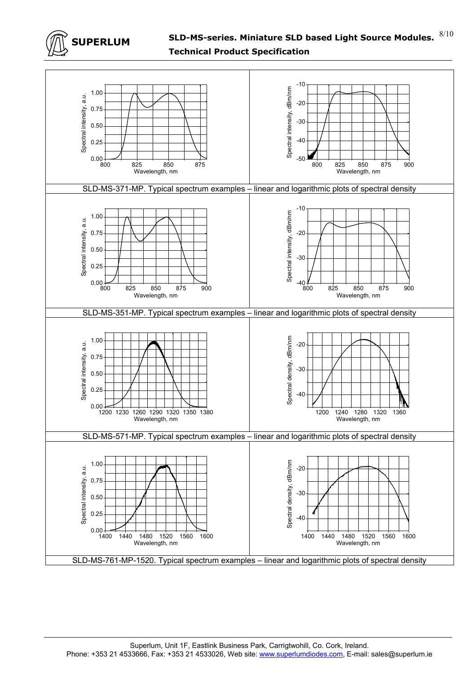

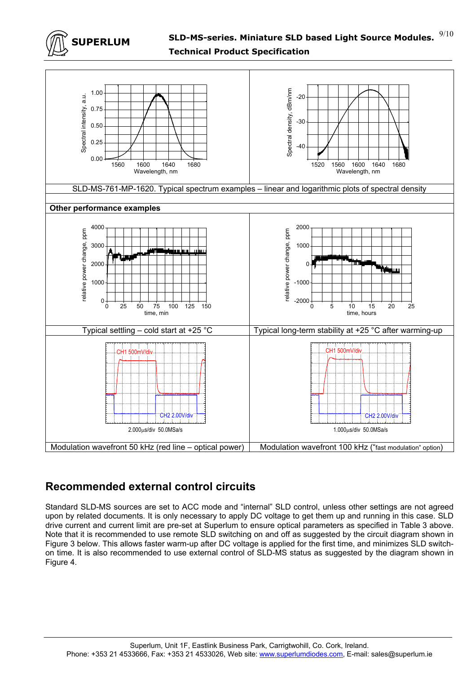



# **Recommended external control circuits**

Standard SLD-MS sources are set to ACC mode and "internal" SLD control, unless other settings are not agreed upon by related documents. It is only necessary to apply DC voltage to get them up and running in this case. SLD drive current and current limit are pre-set at Superlum to ensure optical parameters as specified in Table 3 above. Note that it is recommended to use remote SLD switching on and off as suggested by the circuit diagram shown in Figure 3 below. This allows faster warm-up after DC voltage is applied for the first time, and minimizes SLD switchon time. It is also recommended to use external control of SLD-MS status as suggested by the diagram shown in Figure 4.